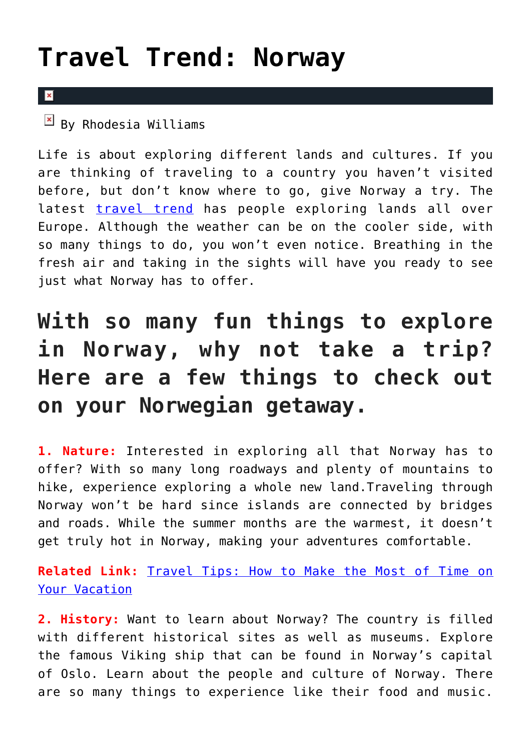## **[Travel Trend: Norway](https://cupidspulse.com/126385/travel-trend-norway/)**

## $\overline{\mathbf{x}}$

 $\overline{\mathbb{F}}$  By Rhodesia Williams

Life is about exploring different lands and cultures. If you are thinking of traveling to a country you haven't visited before, but don't know where to go, give Norway a try. The latest [travel trend](http://cupidspulse.com/tag/travel/) has people exploring lands all over Europe. Although the weather can be on the cooler side, with so many things to do, you won't even notice. Breathing in the fresh air and taking in the sights will have you ready to see just what Norway has to offer.

## **With so many fun things to explore in Norway, why not take a trip? Here are a few things to check out on your Norwegian getaway.**

**1. Nature:** Interested in exploring all that Norway has to offer? With so many long roadways and plenty of mountains to hike, experience exploring a whole new land.Traveling through Norway won't be hard since islands are connected by bridges and roads. While the summer months are the warmest, it doesn't get truly hot in Norway, making your adventures comfortable.

**Related Link:** [Travel Tips: How to Make the Most of Time on](http://cupidspulse.com/125785/travel-tips-make-most-time-vacation/) [Your Vacation](http://cupidspulse.com/125785/travel-tips-make-most-time-vacation/)

**2. History:** Want to learn about Norway? The country is filled with different historical sites as well as museums. Explore the famous Viking ship that can be found in Norway's capital of Oslo. Learn about the people and culture of Norway. There are so many things to experience like their food and music.